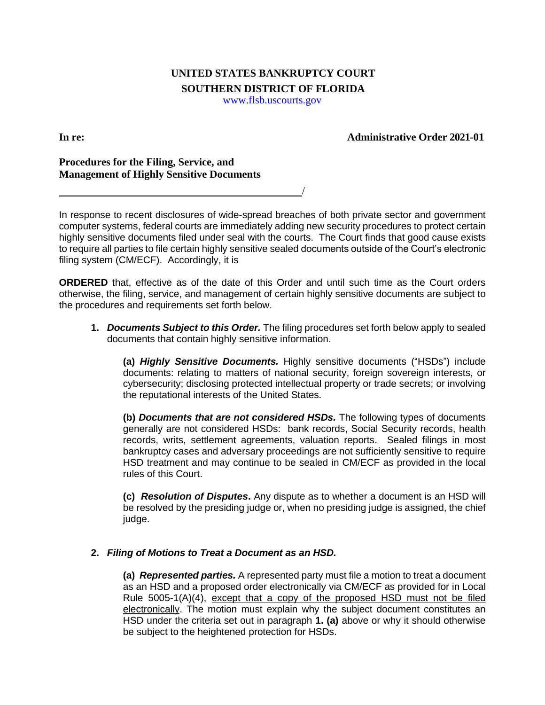# **UNITED STATES BANKRUPTCY COURT SOUTHERN DISTRICT OF FLORIDA**

[www.flsb.uscourts.gov](http://www.flsb.uscourts.gov/)

#### **In re: Administrative Order 2021-01**

### **Procedures for the Filing, Service, and Management of Highly Sensitive Documents**

In response to recent disclosures of wide-spread breaches of both private sector and government computer systems, federal courts are immediately adding new security procedures to protect certain highly sensitive documents filed under seal with the courts. The Court finds that good cause exists to require all parties to file certain highly sensitive sealed documents outside of the Court's electronic filing system (CM/ECF). Accordingly, it is

/

**ORDERED** that, effective as of the date of this Order and until such time as the Court orders otherwise, the filing, service, and management of certain highly sensitive documents are subject to the procedures and requirements set forth below.

**1.** *Documents Subject to this Order.* The filing procedures set forth below apply to sealed documents that contain highly sensitive information.

**(a)** *Highly Sensitive Documents.* Highly sensitive documents ("HSDs") include documents: relating to matters of national security, foreign sovereign interests, or cybersecurity; disclosing protected intellectual property or trade secrets; or involving the reputational interests of the United States.

**(b)** *Documents that are not considered HSDs.* The following types of documents generally are not considered HSDs: bank records, Social Security records, health records, writs, settlement agreements, valuation reports. Sealed filings in most bankruptcy cases and adversary proceedings are not sufficiently sensitive to require HSD treatment and may continue to be sealed in CM/ECF as provided in the local rules of this Court.

**(c)** *Resolution of Disputes***.** Any dispute as to whether a document is an HSD will be resolved by the presiding judge or, when no presiding judge is assigned, the chief judge.

#### **2.** *Filing of Motions to Treat a Document as an HSD.*

**(a)** *Represented parties.* A represented party must file a motion to treat a document as an HSD and a proposed order electronically via CM/ECF as provided for in Local Rule 5005-1(A)(4), except that a copy of the proposed HSD must not be filed electronically. The motion must explain why the subject document constitutes an HSD under the criteria set out in paragraph **1. (a)** above or why it should otherwise be subject to the heightened protection for HSDs.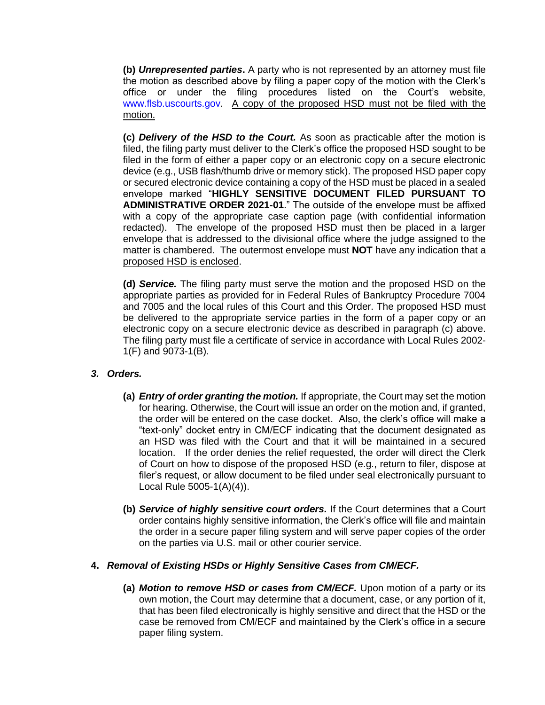**(b)** *Unrepresented parties***.** A party who is not represented by an attorney must file the motion as described above by filing a paper copy of the motion with the Clerk's office or under the filing procedures listed on the Court's website, [www.flsb.uscourts.gov.](http://www.flsb.uscourts.gov/) A copy of the proposed HSD must not be filed with the motion.

**(c)** *Delivery of the HSD to the Court.* As soon as practicable after the motion is filed, the filing party must deliver to the Clerk's office the proposed HSD sought to be filed in the form of either a paper copy or an electronic copy on a secure electronic device (e.g., USB flash/thumb drive or memory stick). The proposed HSD paper copy or secured electronic device containing a copy of the HSD must be placed in a sealed envelope marked "**HIGHLY SENSITIVE DOCUMENT FILED PURSUANT TO ADMINISTRATIVE ORDER 2021-01**." The outside of the envelope must be affixed with a copy of the appropriate case caption page (with confidential information redacted). The envelope of the proposed HSD must then be placed in a larger envelope that is addressed to the divisional office where the judge assigned to the matter is chambered. The outermost envelope must **NOT** have any indication that a proposed HSD is enclosed.

**(d)** *Service.* The filing party must serve the motion and the proposed HSD on the appropriate parties as provided for in Federal Rules of Bankruptcy Procedure 7004 and 7005 and the local rules of this Court and this Order. The proposed HSD must be delivered to the appropriate service parties in the form of a paper copy or an electronic copy on a secure electronic device as described in paragraph (c) above. The filing party must file a certificate of service in accordance with Local Rules 2002- 1(F) and 9073-1(B).

## *3. Orders.*

- **(a)** *Entry of order granting the motion.* If appropriate, the Court may set the motion for hearing. Otherwise, the Court will issue an order on the motion and, if granted, the order will be entered on the case docket. Also, the clerk's office will make a "text-only" docket entry in CM/ECF indicating that the document designated as an HSD was filed with the Court and that it will be maintained in a secured location. If the order denies the relief requested, the order will direct the Clerk of Court on how to dispose of the proposed HSD (e.g., return to filer, dispose at filer's request, or allow document to be filed under seal electronically pursuant to Local Rule 5005-1(A)(4)).
- **(b)** *Service of highly sensitive court orders.* If the Court determines that a Court order contains highly sensitive information, the Clerk's office will file and maintain the order in a secure paper filing system and will serve paper copies of the order on the parties via U.S. mail or other courier service.

#### **4.** *Removal of Existing HSDs or Highly Sensitive Cases from CM/ECF.*

**(a)** *Motion to remove HSD or cases from CM/ECF.* Upon motion of a party or its own motion, the Court may determine that a document, case, or any portion of it, that has been filed electronically is highly sensitive and direct that the HSD or the case be removed from CM/ECF and maintained by the Clerk's office in a secure paper filing system.